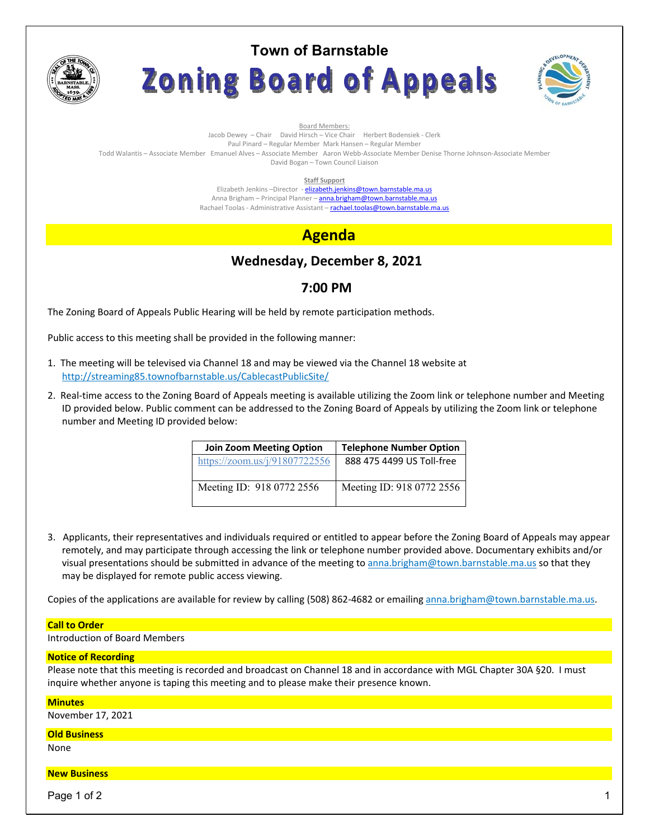

# **Town of Barnstable** Zoning Board of Appeals



Board Members: Jacob Dewey – Chair David Hirsch – Vice Chair Herbert Bodensiek - Clerk Paul Pinard – Regular Member Mark Hansen – Regular Member Todd Walantis – Associate Member Emanuel Alves – Associate Member Aaron Webb-Associate Member Denise Thorne Johnson-Associate Member David Bogan – Town Council Liaison

**Staff Support** 

Elizabeth Jenkins -Director - elizabeth.jenkins@town.barnstable.ma.us Anna Brigham - Principal Planner - anna.brigham@town.barnstable.ma.us Rachael Toolas - Administrative Assistant - rachael.toolas@town.barnstable.ma.us

# **Agenda**

# **Wednesday, December 8, 2021**

## **7:00 PM**

The Zoning Board of Appeals Public Hearing will be held by remote participation methods.

Public access to this meeting shall be provided in the following manner:

- 1. The meeting will be televised via Channel 18 and may be viewed via the Channel 18 website at http://streaming85.townofbarnstable.us/CablecastPublicSite/
- 2. Real-time access to the Zoning Board of Appeals meeting is available utilizing the Zoom link or telephone number and Meeting ID provided below. Public comment can be addressed to the Zoning Board of Appeals by utilizing the Zoom link or telephone number and Meeting ID provided below:

| <b>Join Zoom Meeting Option</b> | <b>Telephone Number Option</b> |
|---------------------------------|--------------------------------|
| https://zoom.us/j/91807722556   | 888 475 4499 US Toll-free      |
| Meeting ID: 918 0772 2556       | Meeting ID: 918 0772 2556      |

3. Applicants, their representatives and individuals required or entitled to appear before the Zoning Board of Appeals may appear remotely, and may participate through accessing the link or telephone number provided above. Documentary exhibits and/or visual presentations should be submitted in advance of the meeting to anna.brigham@town.barnstable.ma.us so that they may be displayed for remote public access viewing.

Copies of the applications are available for review by calling (508) 862-4682 or emailing anna.brigham@town.barnstable.ma.us.

#### **Call to Order**

Introduction of Board Members

#### **Notice of Recording**

Please note that this meeting is recorded and broadcast on Channel 18 and in accordance with MGL Chapter 30A §20. I must inquire whether anyone is taping this meeting and to please make their presence known.

#### **Minutes**

November 17, 2021

#### **Old Business**

None

### **New Business**

Page 1 of 2  $\hphantom{\ddots}$